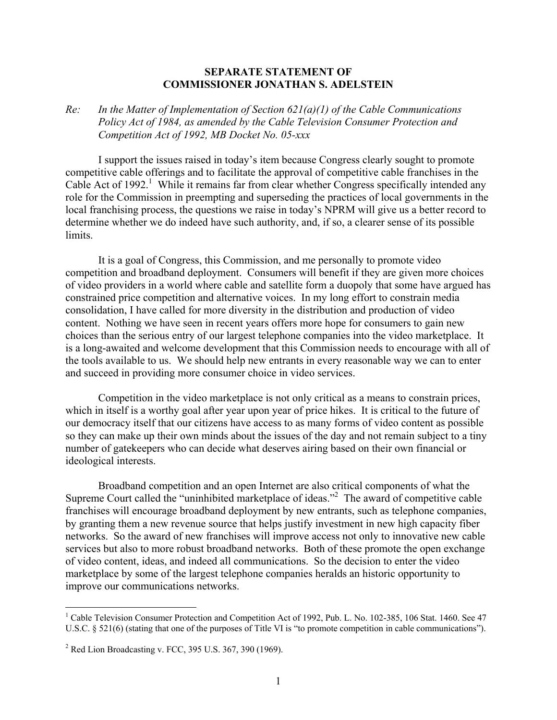## **SEPARATE STATEMENT OF COMMISSIONER JONATHAN S. ADELSTEIN**

*Re: In the Matter of Implementation of Section 621(a)(1) of the Cable Communications Policy Act of 1984, as amended by the Cable Television Consumer Protection and Competition Act of 1992, MB Docket No. 05-xxx* 

 I support the issues raised in today's item because Congress clearly sought to promote competitive cable offerings and to facilitate the approval of competitive cable franchises in the Cable Act of 1992.<sup>1</sup> While it remains far from clear whether Congress specifically intended any role for the Commission in preempting and superseding the practices of local governments in the local franchising process, the questions we raise in today's NPRM will give us a better record to determine whether we do indeed have such authority, and, if so, a clearer sense of its possible limits.

 It is a goal of Congress, this Commission, and me personally to promote video competition and broadband deployment. Consumers will benefit if they are given more choices of video providers in a world where cable and satellite form a duopoly that some have argued has constrained price competition and alternative voices. In my long effort to constrain media consolidation, I have called for more diversity in the distribution and production of video content. Nothing we have seen in recent years offers more hope for consumers to gain new choices than the serious entry of our largest telephone companies into the video marketplace. It is a long-awaited and welcome development that this Commission needs to encourage with all of the tools available to us. We should help new entrants in every reasonable way we can to enter and succeed in providing more consumer choice in video services.

 Competition in the video marketplace is not only critical as a means to constrain prices, which in itself is a worthy goal after year upon year of price hikes. It is critical to the future of our democracy itself that our citizens have access to as many forms of video content as possible so they can make up their own minds about the issues of the day and not remain subject to a tiny number of gatekeepers who can decide what deserves airing based on their own financial or ideological interests.

 Broadband competition and an open Internet are also critical components of what the Supreme Court called the "uninhibited marketplace of ideas."<sup>2</sup> The award of competitive cable franchises will encourage broadband deployment by new entrants, such as telephone companies, by granting them a new revenue source that helps justify investment in new high capacity fiber networks. So the award of new franchises will improve access not only to innovative new cable services but also to more robust broadband networks. Both of these promote the open exchange of video content, ideas, and indeed all communications. So the decision to enter the video marketplace by some of the largest telephone companies heralds an historic opportunity to improve our communications networks.

 $\overline{a}$ 

<sup>&</sup>lt;sup>1</sup> Cable Television Consumer Protection and Competition Act of 1992, Pub. L. No. 102-385, 106 Stat. 1460. See 47 U.S.C. § 521(6) (stating that one of the purposes of Title VI is "to promote competition in cable communications").

<sup>&</sup>lt;sup>2</sup> Red Lion Broadcasting v. FCC, 395 U.S. 367, 390 (1969).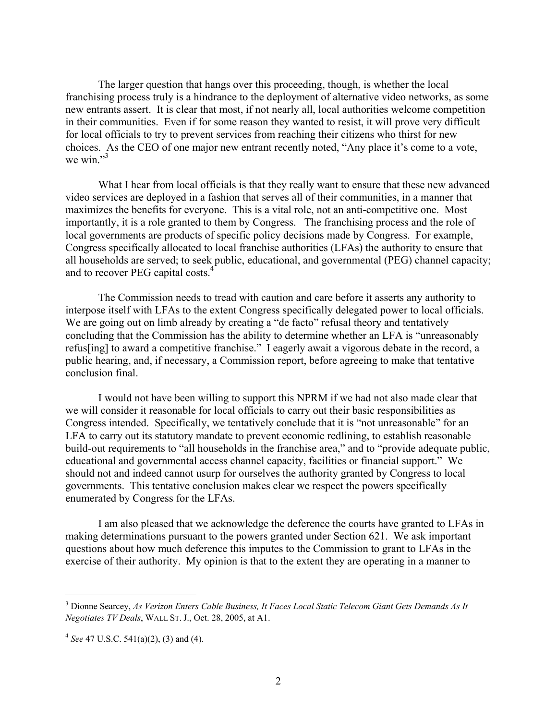The larger question that hangs over this proceeding, though, is whether the local franchising process truly is a hindrance to the deployment of alternative video networks, as some new entrants assert. It is clear that most, if not nearly all, local authorities welcome competition in their communities. Even if for some reason they wanted to resist, it will prove very difficult for local officials to try to prevent services from reaching their citizens who thirst for new choices. As the CEO of one major new entrant recently noted, "Any place it's come to a vote, we win." $3$ 

What I hear from local officials is that they really want to ensure that these new advanced video services are deployed in a fashion that serves all of their communities, in a manner that maximizes the benefits for everyone. This is a vital role, not an anti-competitive one. Most importantly, it is a role granted to them by Congress. The franchising process and the role of local governments are products of specific policy decisions made by Congress. For example, Congress specifically allocated to local franchise authorities (LFAs) the authority to ensure that all households are served; to seek public, educational, and governmental (PEG) channel capacity; and to recover PEG capital costs.<sup>4</sup>

 The Commission needs to tread with caution and care before it asserts any authority to interpose itself with LFAs to the extent Congress specifically delegated power to local officials. We are going out on limb already by creating a "de facto" refusal theory and tentatively concluding that the Commission has the ability to determine whether an LFA is "unreasonably refus[ing] to award a competitive franchise." I eagerly await a vigorous debate in the record, a public hearing, and, if necessary, a Commission report, before agreeing to make that tentative conclusion final.

I would not have been willing to support this NPRM if we had not also made clear that we will consider it reasonable for local officials to carry out their basic responsibilities as Congress intended. Specifically, we tentatively conclude that it is "not unreasonable" for an LFA to carry out its statutory mandate to prevent economic redlining, to establish reasonable build-out requirements to "all households in the franchise area," and to "provide adequate public, educational and governmental access channel capacity, facilities or financial support." We should not and indeed cannot usurp for ourselves the authority granted by Congress to local governments. This tentative conclusion makes clear we respect the powers specifically enumerated by Congress for the LFAs.

 I am also pleased that we acknowledge the deference the courts have granted to LFAs in making determinations pursuant to the powers granted under Section 621. We ask important questions about how much deference this imputes to the Commission to grant to LFAs in the exercise of their authority. My opinion is that to the extent they are operating in a manner to

1

<sup>3</sup> Dionne Searcey, *As Verizon Enters Cable Business, It Faces Local Static Telecom Giant Gets Demands As It Negotiates TV Deals*, WALL ST. J., Oct. 28, 2005, at A1.

<sup>4</sup> *See* 47 U.S.C. 541(a)(2), (3) and (4).